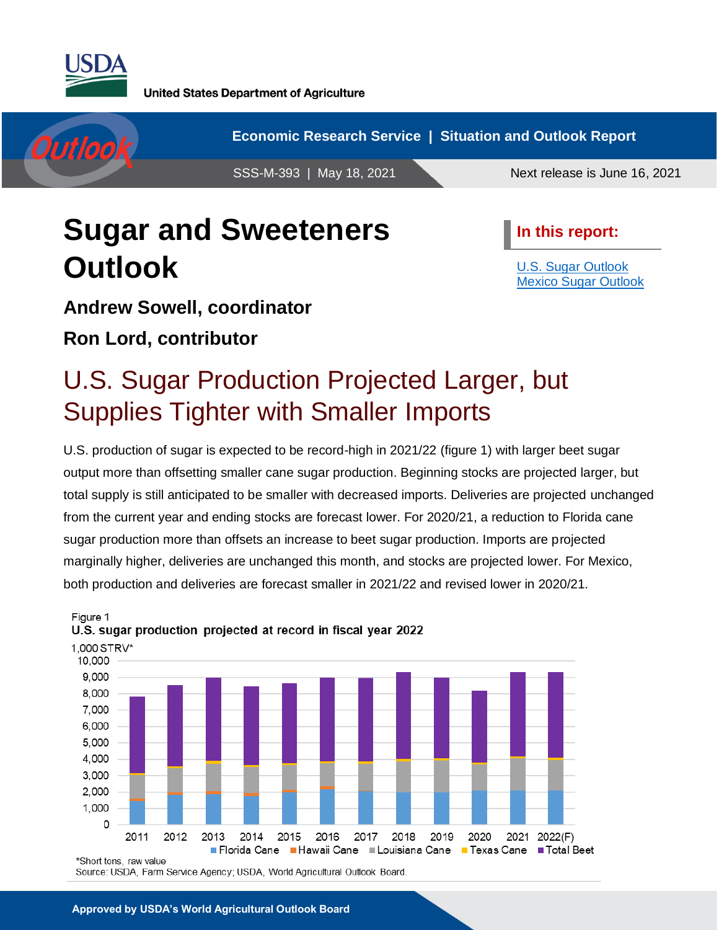

**United States Department of Agriculture** 



**Economic Research Service | Situation and Outlook Report**

SSS-M-393 | May 18, 2021 Next release is June 16, 2021

# **Sugar and Sweeteners Outlook**

**In this report:**

[U.S. Sugar Outlook](#page-1-0) [Mexico Sugar Outlook](#page-12-0)

### **Andrew Sowell, coordinator**

**Ron Lord, contributor**

# U.S. Sugar Production Projected Larger, but Supplies Tighter with Smaller Imports

U.S. production of sugar is expected to be record-high in 2021/22 (figure 1) with larger beet sugar output more than offsetting smaller cane sugar production. Beginning stocks are projected larger, but total supply is still anticipated to be smaller with decreased imports. Deliveries are projected unchanged from the current year and ending stocks are forecast lower. For 2020/21, a reduction to Florida cane sugar production more than offsets an increase to beet sugar production. Imports are projected marginally higher, deliveries are unchanged this month, and stocks are projected lower. For Mexico, both production and deliveries are forecast smaller in 2021/22 and revised lower in 2020/21.



#### Figure 1 U.S. sugar production projected at record in fiscal year 2022

Source: USDA, Farm Service Agency; USDA, World Agricultural Outlook Board.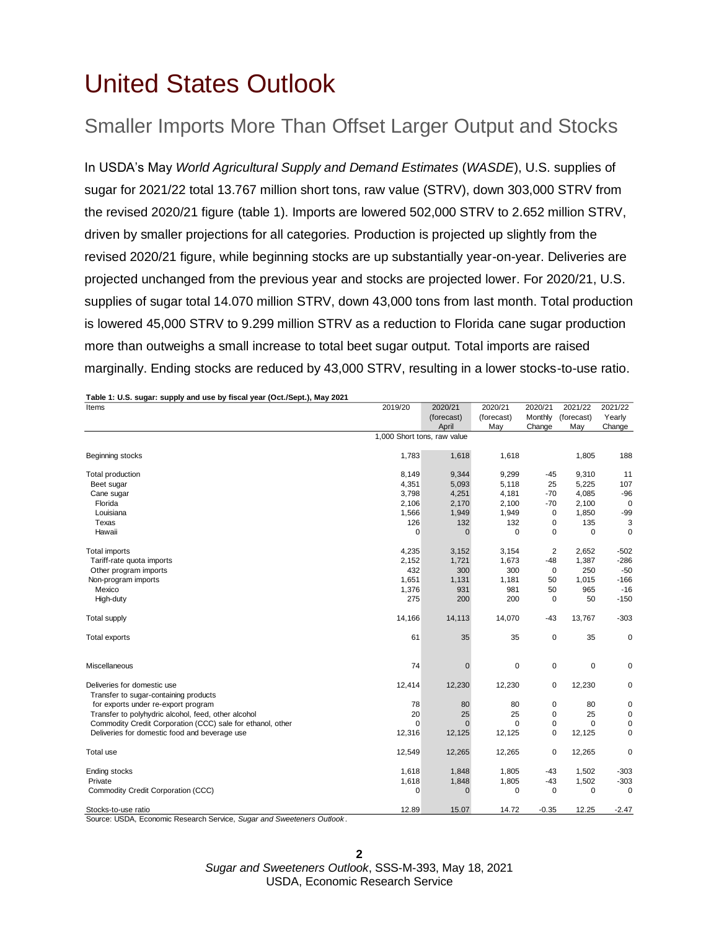# <span id="page-1-0"></span>United States Outlook

## Smaller Imports More Than Offset Larger Output and Stocks

In USDA's May *World Agricultural Supply and Demand Estimates* (*WASDE*), U.S. supplies of sugar for 2021/22 total 13.767 million short tons, raw value (STRV), down 303,000 STRV from the revised 2020/21 figure (table 1). Imports are lowered 502,000 STRV to 2.652 million STRV, driven by smaller projections for all categories. Production is projected up slightly from the revised 2020/21 figure, while beginning stocks are up substantially year-on-year. Deliveries are projected unchanged from the previous year and stocks are projected lower. For 2020/21, U.S. supplies of sugar total 14.070 million STRV, down 43,000 tons from last month. Total production is lowered 45,000 STRV to 9.299 million STRV as a reduction to Florida cane sugar production more than outweighs a small increase to total beet sugar output. Total imports are raised marginally. Ending stocks are reduced by 43,000 STRV, resulting in a lower stocks-to-use ratio.

| Items                                                                | 2019/20                     | 2020/21      | 2020/21     | 2020/21        | 2021/22     | 2021/22     |
|----------------------------------------------------------------------|-----------------------------|--------------|-------------|----------------|-------------|-------------|
|                                                                      |                             | (forecast)   | (forecast)  | Monthly        | (forecast)  | Yearly      |
|                                                                      |                             | April        | May         | Change         | May         | Change      |
|                                                                      | 1,000 Short tons, raw value |              |             |                |             |             |
| Beginning stocks                                                     | 1,783                       | 1,618        | 1,618       |                | 1,805       | 188         |
| Total production                                                     | 8,149                       | 9,344        | 9,299       | $-45$          | 9,310       | 11          |
| Beet sugar                                                           | 4,351                       | 5,093        | 5,118       | 25             | 5,225       | 107         |
| Cane sugar                                                           | 3,798                       | 4,251        | 4,181       | -70            | 4,085       | $-96$       |
| Florida                                                              | 2,106                       | 2,170        | 2,100       | $-70$          | 2,100       | $\mathbf 0$ |
| Louisiana                                                            | 1,566                       | 1,949        | 1,949       | 0              | 1,850       | $-99$       |
| Texas                                                                | 126                         | 132          | 132         | 0              | 135         | 3           |
| Hawaii                                                               | $\mathbf 0$                 | $\Omega$     | $\Omega$    | 0              | 0           | 0           |
| Total imports                                                        | 4,235                       | 3,152        | 3,154       | $\overline{2}$ | 2.652       | $-502$      |
| Tariff-rate quota imports                                            | 2,152                       | 1,721        | 1,673       | $-48$          | 1,387       | $-286$      |
| Other program imports                                                | 432                         | 300          | 300         | $\mathbf 0$    | 250         | $-50$       |
| Non-program imports                                                  | 1,651                       | 1,131        | 1,181       | 50             | 1,015       | $-166$      |
| Mexico                                                               | 1,376                       | 931          | 981         | 50             | 965         | $-16$       |
| High-duty                                                            | 275                         | 200          | 200         | 0              | 50          | $-150$      |
| <b>Total supply</b>                                                  | 14,166                      | 14,113       | 14,070      | $-43$          | 13,767      | $-303$      |
| Total exports                                                        | 61                          | 35           | 35          | $\mathbf 0$    | 35          | 0           |
| Miscellaneous                                                        | 74                          | $\mathbf 0$  | $\mathbf 0$ | $\mathbf 0$    | $\mathbf 0$ | $\mathbf 0$ |
| Deliveries for domestic use<br>Transfer to sugar-containing products | 12,414                      | 12,230       | 12,230      | 0              | 12,230      | 0           |
| for exports under re-export program                                  | 78                          | 80           | 80          | 0              | 80          | 0           |
| Transfer to polyhydric alcohol, feed, other alcohol                  | 20                          | 25           | 25          | $\mathbf 0$    | 25          | 0           |
| Commodity Credit Corporation (CCC) sale for ethanol, other           | $\Omega$                    | $\Omega$     | $\Omega$    | 0              | $\Omega$    | 0           |
| Deliveries for domestic food and beverage use                        | 12,316                      | 12,125       | 12,125      | $\mathbf 0$    | 12,125      | $\mathbf 0$ |
| Total use                                                            | 12,549                      | 12,265       | 12,265      | $\mathsf 0$    | 12,265      | 0           |
| <b>Ending stocks</b>                                                 | 1,618                       | 1,848        | 1,805       | -43            | 1,502       | $-303$      |
| Private                                                              | 1,618                       | 1,848        | 1,805       | $-43$          | 1,502       | $-303$      |
| Commodity Credit Corporation (CCC)                                   | $\mathbf 0$                 | $\mathbf{0}$ | $\mathbf 0$ | $\mathbf 0$    | $\mathbf 0$ | $\mathbf 0$ |
| Stocks-to-use ratio                                                  | 12.89                       | 15.07        | 14.72       | $-0.35$        | 12.25       | $-2.47$     |

Source: USDA, Economic Research Service, *Sugar and Sweeteners Outlook* .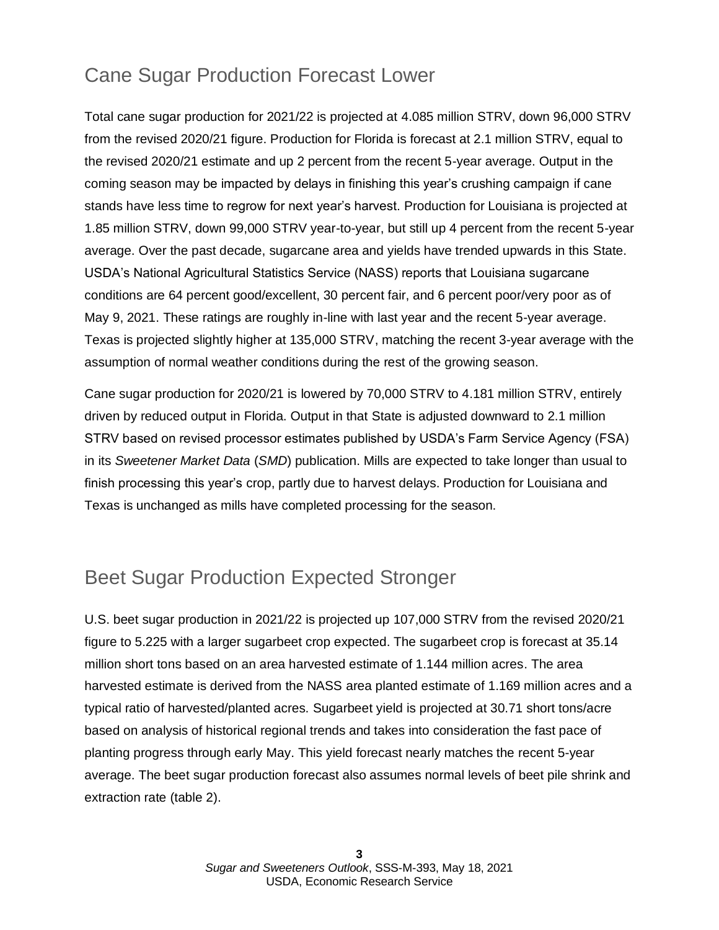## Cane Sugar Production Forecast Lower

Total cane sugar production for 2021/22 is projected at 4.085 million STRV, down 96,000 STRV from the revised 2020/21 figure. Production for Florida is forecast at 2.1 million STRV, equal to the revised 2020/21 estimate and up 2 percent from the recent 5-year average. Output in the coming season may be impacted by delays in finishing this year's crushing campaign if cane stands have less time to regrow for next year's harvest. Production for Louisiana is projected at 1.85 million STRV, down 99,000 STRV year-to-year, but still up 4 percent from the recent 5-year average. Over the past decade, sugarcane area and yields have trended upwards in this State. USDA's National Agricultural Statistics Service (NASS) reports that Louisiana sugarcane conditions are 64 percent good/excellent, 30 percent fair, and 6 percent poor/very poor as of May 9, 2021. These ratings are roughly in-line with last year and the recent 5-year average. Texas is projected slightly higher at 135,000 STRV, matching the recent 3-year average with the assumption of normal weather conditions during the rest of the growing season.

Cane sugar production for 2020/21 is lowered by 70,000 STRV to 4.181 million STRV, entirely driven by reduced output in Florida. Output in that State is adjusted downward to 2.1 million STRV based on revised processor estimates published by USDA's Farm Service Agency (FSA) in its *Sweetener Market Data* (*SMD*) publication. Mills are expected to take longer than usual to finish processing this year's crop, partly due to harvest delays. Production for Louisiana and Texas is unchanged as mills have completed processing for the season.

## Beet Sugar Production Expected Stronger

U.S. beet sugar production in 2021/22 is projected up 107,000 STRV from the revised 2020/21 figure to 5.225 with a larger sugarbeet crop expected. The sugarbeet crop is forecast at 35.14 million short tons based on an area harvested estimate of 1.144 million acres. The area harvested estimate is derived from the NASS area planted estimate of 1.169 million acres and a typical ratio of harvested/planted acres. Sugarbeet yield is projected at 30.71 short tons/acre based on analysis of historical regional trends and takes into consideration the fast pace of planting progress through early May. This yield forecast nearly matches the recent 5-year average. The beet sugar production forecast also assumes normal levels of beet pile shrink and extraction rate (table 2).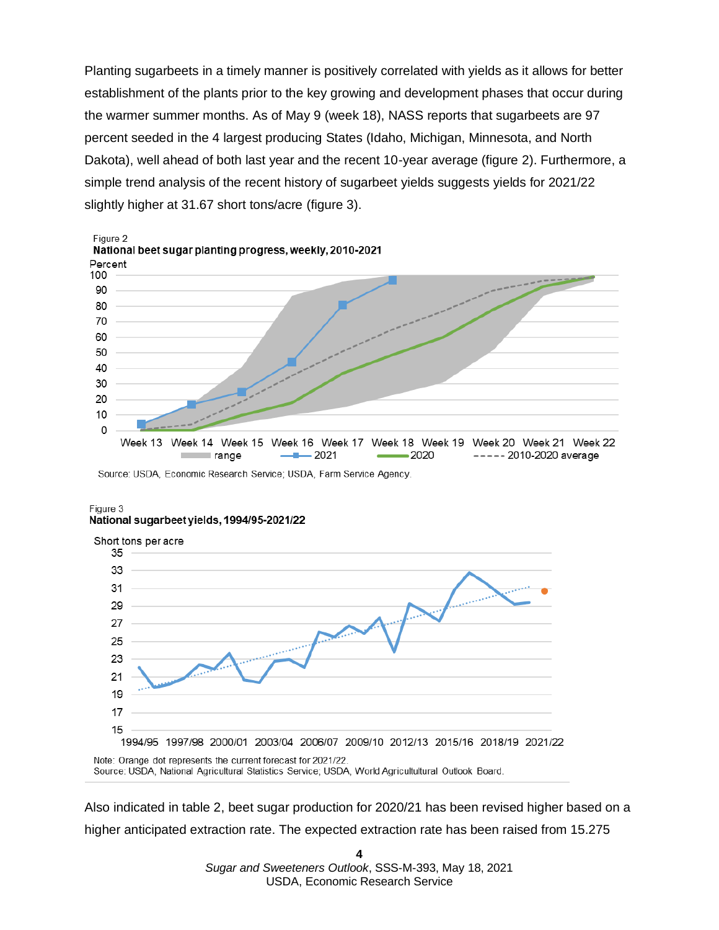Planting sugarbeets in a timely manner is positively correlated with yields as it allows for better establishment of the plants prior to the key growing and development phases that occur during the warmer summer months. As of May 9 (week 18), NASS reports that sugarbeets are 97 percent seeded in the 4 largest producing States (Idaho, Michigan, Minnesota, and North Dakota), well ahead of both last year and the recent 10-year average (figure 2). Furthermore, a simple trend analysis of the recent history of sugarbeet yields suggests yields for 2021/22 slightly higher at 31.67 short tons/acre (figure 3).



#### Figure 3 National sugarbeet yields, 1994/95-2021/22



Note: Orange dot represents the current forecast for 2021/22. Source: USDA, National Agricultural Statistics Service; USDA, World Agricultultural Outlook Board.

Also indicated in table 2, beet sugar production for 2020/21 has been revised higher based on a higher anticipated extraction rate. The expected extraction rate has been raised from 15.275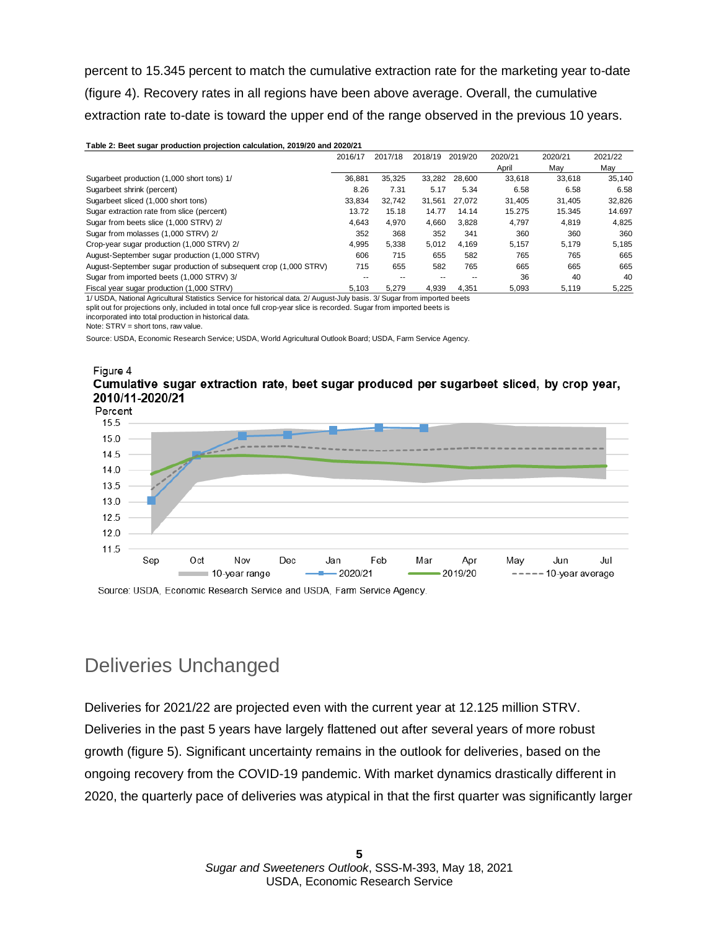percent to 15.345 percent to match the cumulative extraction rate for the marketing year to-date (figure 4). Recovery rates in all regions have been above average. Overall, the cumulative extraction rate to-date is toward the upper end of the range observed in the previous 10 years.

| Table 2: Beet sugar production projection calculation, 2019/20 and 2020/21 |         |         |         |         |         |         |         |  |
|----------------------------------------------------------------------------|---------|---------|---------|---------|---------|---------|---------|--|
|                                                                            | 2016/17 | 2017/18 | 2018/19 | 2019/20 | 2020/21 | 2020/21 | 2021/22 |  |
|                                                                            |         |         |         |         | April   | May     | May     |  |
| Sugarbeet production (1,000 short tons) 1/                                 | 36.881  | 35.325  | 33.282  | 28.600  | 33.618  | 33.618  | 35,140  |  |
| Sugarbeet shrink (percent)                                                 | 8.26    | 7.31    | 5.17    | 5.34    | 6.58    | 6.58    | 6.58    |  |
| Sugarbeet sliced (1,000 short tons)                                        | 33.834  | 32.742  | 31.561  | 27.072  | 31.405  | 31.405  | 32,826  |  |
| Sugar extraction rate from slice (percent)                                 | 13.72   | 15.18   | 14.77   | 14.14   | 15.275  | 15.345  | 14.697  |  |
| Sugar from beets slice (1,000 STRV) 2/                                     | 4.643   | 4.970   | 4.660   | 3.828   | 4.797   | 4.819   | 4.825   |  |
| Sugar from molasses (1,000 STRV) 2/                                        | 352     | 368     | 352     | 341     | 360     | 360     | 360     |  |
| Crop-year sugar production (1,000 STRV) 2/                                 | 4,995   | 5,338   | 5,012   | 4.169   | 5,157   | 5.179   | 5,185   |  |
| August-September sugar production (1,000 STRV)                             | 606     | 715     | 655     | 582     | 765     | 765     | 665     |  |
| August-September sugar production of subsequent crop (1,000 STRV)          | 715     | 655     | 582     | 765     | 665     | 665     | 665     |  |
| Sugar from imported beets (1,000 STRV) 3/                                  |         |         |         |         | 36      | 40      | 40      |  |
| Fiscal year sugar production (1,000 STRV)                                  | 5.103   | 5.279   | 4,939   | 4.351   | 5,093   | 5,119   | 5,225   |  |

1/ USDA, National Agricultural Statistics Service for historical data. 2/ August-July basis. 3/ Sugar from imported beets

split out for projections only, included in total once full crop-year slice is recorded. Sugar from imported beets is

incorporated into total production in historical data.

Note: STRV = short tons, raw value.

Source: USDA, Economic Research Service; USDA, World Agricultural Outlook Board; USDA, Farm Service Agency.

#### Figure 4 Cumulative sugar extraction rate, beet sugar produced per sugarbeet sliced, by crop year, 2010/11-2020/21



Source: USDA, Economic Research Service and USDA, Farm Service Agency.

### Deliveries Unchanged

Deliveries for 2021/22 are projected even with the current year at 12.125 million STRV. Deliveries in the past 5 years have largely flattened out after several years of more robust growth (figure 5). Significant uncertainty remains in the outlook for deliveries, based on the ongoing recovery from the COVID-19 pandemic. With market dynamics drastically different in 2020, the quarterly pace of deliveries was atypical in that the first quarter was significantly larger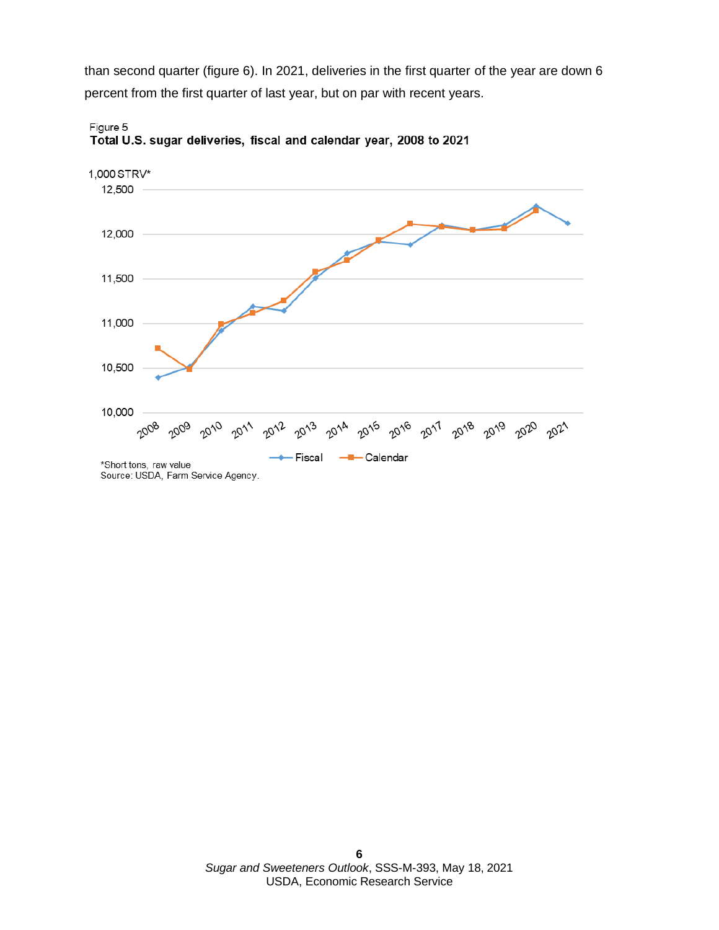than second quarter (figure 6). In 2021, deliveries in the first quarter of the year are down 6 percent from the first quarter of last year, but on par with recent years.



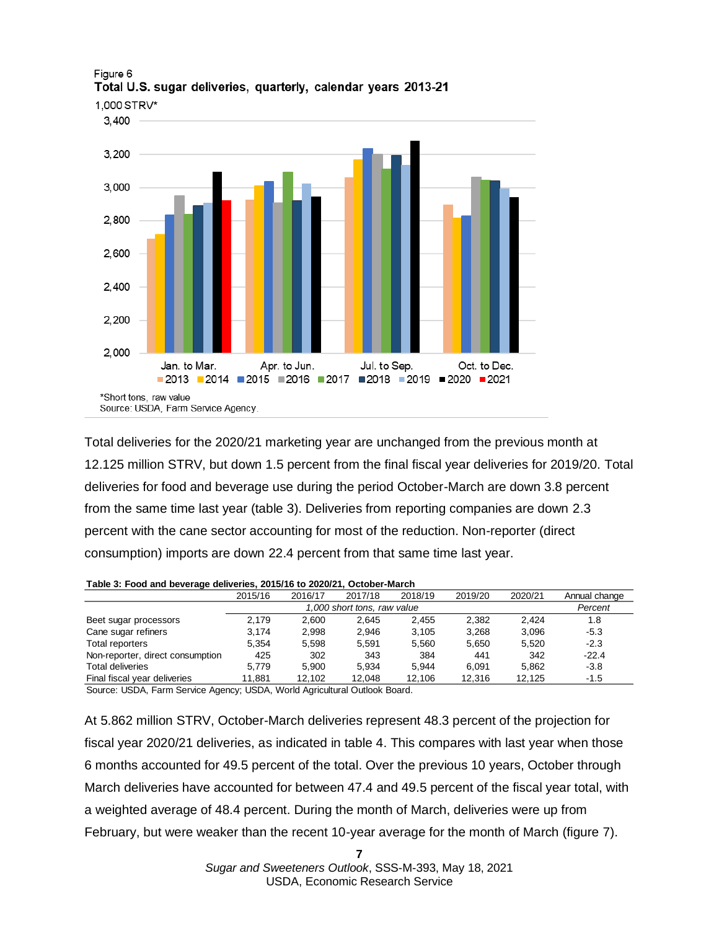

#### Figure 6 Total U.S. sugar deliveries, quarterly, calendar years 2013-21

Total deliveries for the 2020/21 marketing year are unchanged from the previous month at 12.125 million STRV, but down 1.5 percent from the final fiscal year deliveries for 2019/20. Total deliveries for food and beverage use during the period October-March are down 3.8 percent from the same time last year (table 3). Deliveries from reporting companies are down 2.3 percent with the cane sector accounting for most of the reduction. Non-reporter (direct consumption) imports are down 22.4 percent from that same time last year.

#### 2015/16 2016/17 2017/18 2018/19 2019/20 2020/21 Annual change *Percent* Beet sugar processors 2,179 2,600 2,645 2,455 2,382 2,424 1.8 Cane sugar refiners 3,174 2,998 2,946 3,105 3,268 3,096 -5.3 Total reporters 5,354 5,598 5,591 5,560 5,650 5,520 -2.3 Non-reporter, direct consumption 425 302 343 384 441 342 -22.4 Total deliveries 5,779 5,900 5,934 5,944 6,091 5,862 -3.8 Final fiscal year deliveries 11,881 12,102 12,048 12,106 12,316 12,125 -1.5 *1,000 short tons, raw value*

#### **Table 3: Food and beverage deliveries, 2015/16 to 2020/21, October-March**

Source: USDA, Farm Service Agency; USDA, World Agricultural Outlook Board.

At 5.862 million STRV, October-March deliveries represent 48.3 percent of the projection for fiscal year 2020/21 deliveries, as indicated in table 4. This compares with last year when those 6 months accounted for 49.5 percent of the total. Over the previous 10 years, October through March deliveries have accounted for between 47.4 and 49.5 percent of the fiscal year total, with a weighted average of 48.4 percent. During the month of March, deliveries were up from February, but were weaker than the recent 10-year average for the month of March (figure 7).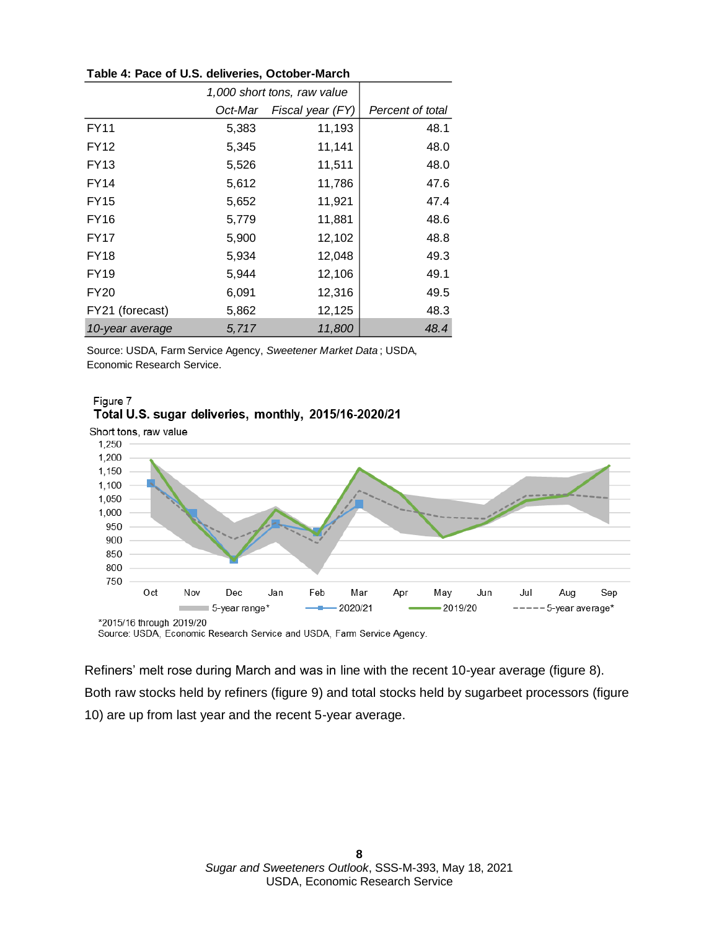| Table 4: Pace of U.S. deliveries, October-March |  |
|-------------------------------------------------|--|
|-------------------------------------------------|--|

|                 | 1,000 short tons, raw value |                  |                  |
|-----------------|-----------------------------|------------------|------------------|
|                 | Oct-Mar                     | Fiscal year (FY) | Percent of total |
| <b>FY11</b>     | 5,383                       | 11,193           | 48.1             |
| FY12            | 5,345                       | 11,141           | 48.0             |
| <b>FY13</b>     | 5,526                       | 11,511           | 48.0             |
| FY14            | 5,612                       | 11,786           | 47.6             |
| FY15            | 5,652                       | 11,921           | 47.4             |
| <b>FY16</b>     | 5,779                       | 11,881           | 48.6             |
| FY17            | 5,900                       | 12,102           | 48.8             |
| FY18            | 5,934                       | 12,048           | 49.3             |
| FY19            | 5,944                       | 12,106           | 49.1             |
| <b>FY20</b>     | 6,091                       | 12,316           | 49.5             |
| FY21 (forecast) | 5,862                       | 12,125           | 48.3             |
| 10-year average | 5,717                       | 11,800           | 48.4             |

Source: USDA, Farm Service Agency, *Sweetener Market Data* ; USDA, Economic Research Service.





Source: USDA, Economic Research Service and USDA, Farm Service Agency.

Refiners' melt rose during March and was in line with the recent 10-year average (figure 8). Both raw stocks held by refiners (figure 9) and total stocks held by sugarbeet processors (figure 10) are up from last year and the recent 5-year average.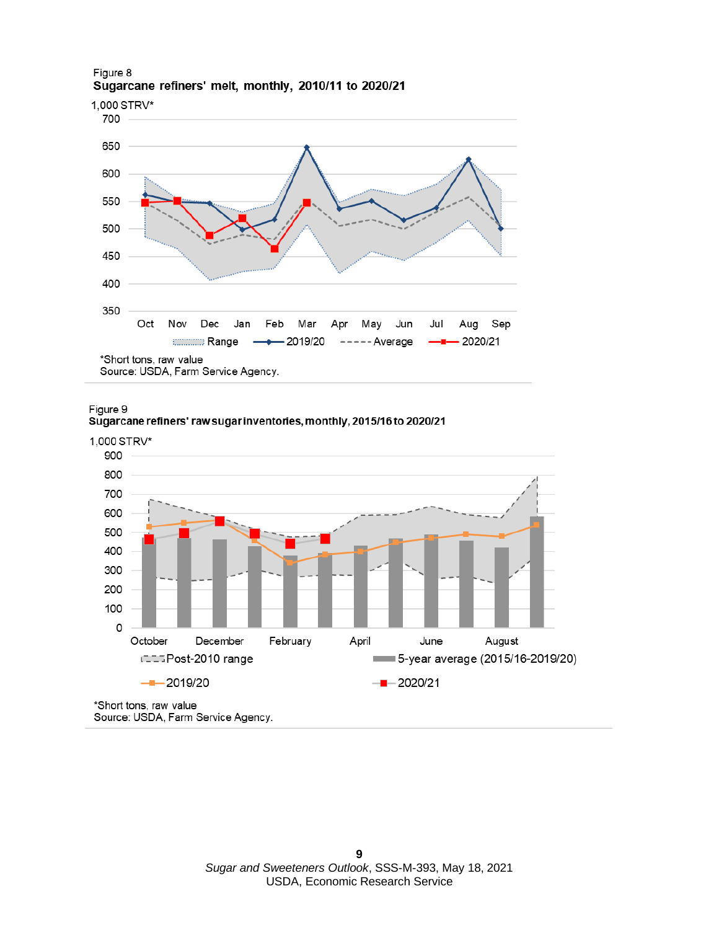

#### Figure 8 Sugarcane refiners' melt, monthly, 2010/11 to 2020/21

Source: USDA, Farm Service Agency.





\*Short tons, raw value Source: USDA, Farm Service Agency.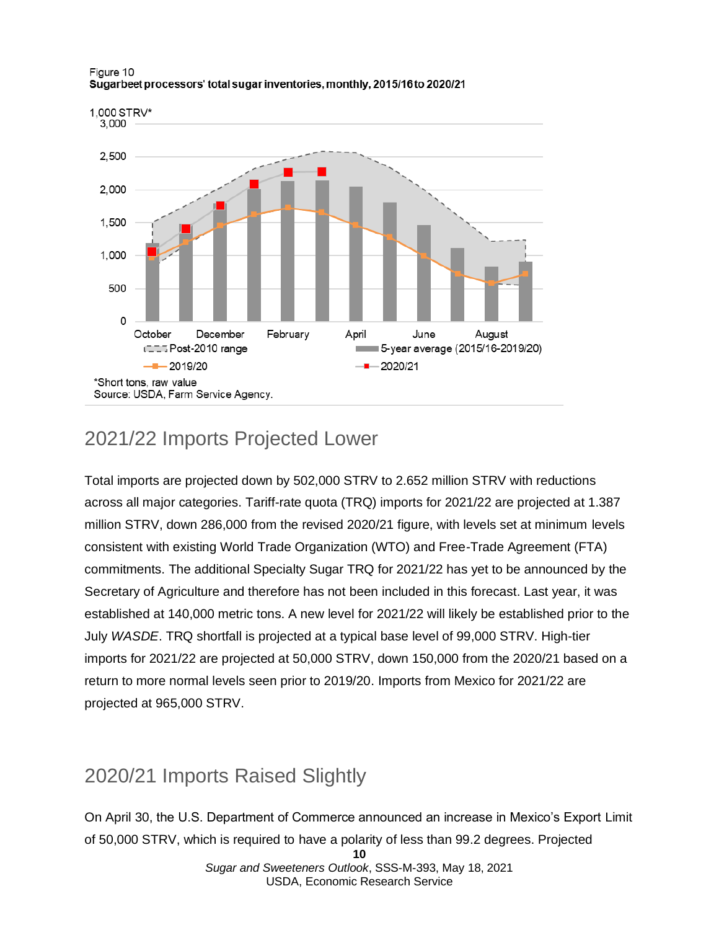

#### Figure 10 Sugarbeet processors' total sugar inventories, monthly, 2015/16 to 2020/21

### 2021/22 Imports Projected Lower

Total imports are projected down by 502,000 STRV to 2.652 million STRV with reductions across all major categories. Tariff-rate quota (TRQ) imports for 2021/22 are projected at 1.387 million STRV, down 286,000 from the revised 2020/21 figure, with levels set at minimum levels consistent with existing World Trade Organization (WTO) and Free-Trade Agreement (FTA) commitments. The additional Specialty Sugar TRQ for 2021/22 has yet to be announced by the Secretary of Agriculture and therefore has not been included in this forecast. Last year, it was established at 140,000 metric tons. A new level for 2021/22 will likely be established prior to the July *WASDE*. TRQ shortfall is projected at a typical base level of 99,000 STRV. High-tier imports for 2021/22 are projected at 50,000 STRV, down 150,000 from the 2020/21 based on a return to more normal levels seen prior to 2019/20. Imports from Mexico for 2021/22 are projected at 965,000 STRV.

## 2020/21 Imports Raised Slightly

On April 30, the U.S. Department of Commerce announced an increase in Mexico's Export Limit of 50,000 STRV, which is required to have a polarity of less than 99.2 degrees. Projected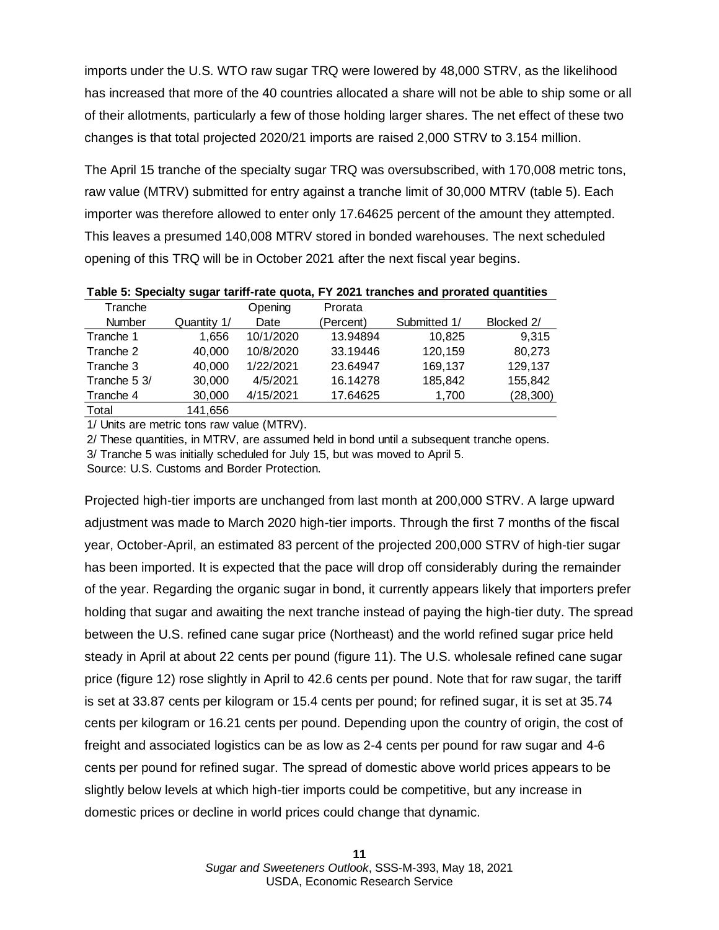imports under the U.S. WTO raw sugar TRQ were lowered by 48,000 STRV, as the likelihood has increased that more of the 40 countries allocated a share will not be able to ship some or all of their allotments, particularly a few of those holding larger shares. The net effect of these two changes is that total projected 2020/21 imports are raised 2,000 STRV to 3.154 million.

The April 15 tranche of the specialty sugar TRQ was oversubscribed, with 170,008 metric tons, raw value (MTRV) submitted for entry against a tranche limit of 30,000 MTRV (table 5). Each importer was therefore allowed to enter only 17.64625 percent of the amount they attempted. This leaves a presumed 140,008 MTRV stored in bonded warehouses. The next scheduled opening of this TRQ will be in October 2021 after the next fiscal year begins.

| Tranche       |             | Opening   | Prorata   |              |            |
|---------------|-------------|-----------|-----------|--------------|------------|
| <b>Number</b> | Quantity 1/ | Date      | (Percent) | Submitted 1/ | Blocked 2/ |
| Tranche 1     | 1.656       | 10/1/2020 | 13.94894  | 10,825       | 9.315      |
| Tranche 2     | 40,000      | 10/8/2020 | 33.19446  | 120,159      | 80,273     |
| Tranche 3     | 40,000      | 1/22/2021 | 23.64947  | 169,137      | 129,137    |
| Tranche 5 3/  | 30,000      | 4/5/2021  | 16.14278  | 185,842      | 155,842    |
| Tranche 4     | 30,000      | 4/15/2021 | 17.64625  | 1,700        | (28, 300)  |
| Total         | 141,656     |           |           |              |            |

**Table 5: Specialty sugar tariff-rate quota, FY 2021 tranches and prorated quantities**

1/ Units are metric tons raw value (MTRV).

2/ These quantities, in MTRV, are assumed held in bond until a subsequent tranche opens.

3/ Tranche 5 was initially scheduled for July 15, but was moved to April 5.

Source: U.S. Customs and Border Protection.

Projected high-tier imports are unchanged from last month at 200,000 STRV. A large upward adjustment was made to March 2020 high-tier imports. Through the first 7 months of the fiscal year, October-April, an estimated 83 percent of the projected 200,000 STRV of high-tier sugar has been imported. It is expected that the pace will drop off considerably during the remainder of the year. Regarding the organic sugar in bond, it currently appears likely that importers prefer holding that sugar and awaiting the next tranche instead of paying the high-tier duty. The spread between the U.S. refined cane sugar price (Northeast) and the world refined sugar price held steady in April at about 22 cents per pound (figure 11). The U.S. wholesale refined cane sugar price (figure 12) rose slightly in April to 42.6 cents per pound. Note that for raw sugar, the tariff is set at 33.87 cents per kilogram or 15.4 cents per pound; for refined sugar, it is set at 35.74 cents per kilogram or 16.21 cents per pound. Depending upon the country of origin, the cost of freight and associated logistics can be as low as 2-4 cents per pound for raw sugar and 4-6 cents per pound for refined sugar. The spread of domestic above world prices appears to be slightly below levels at which high-tier imports could be competitive, but any increase in domestic prices or decline in world prices could change that dynamic.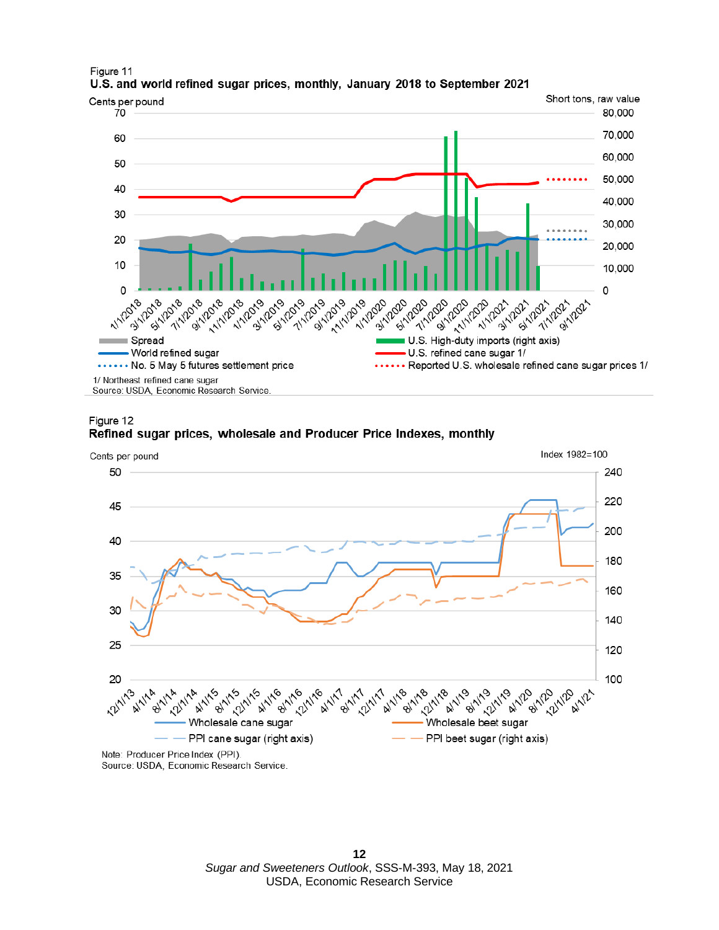

Figure 11 U.S. and world refined sugar prices, monthly, January 2018 to September 2021

Source: USDA, Economic Research Service.



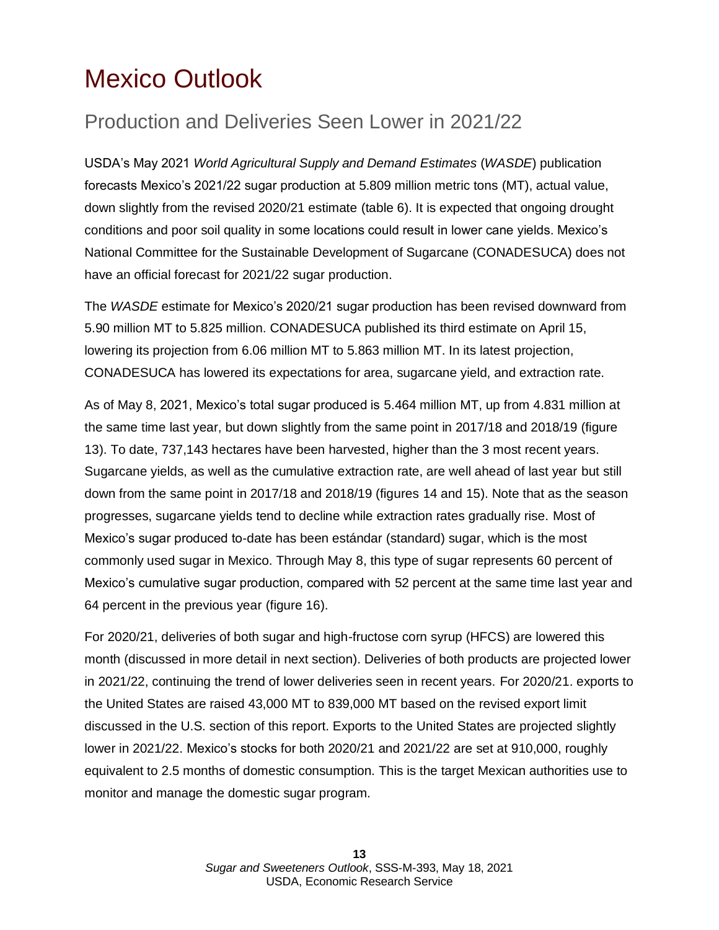# <span id="page-12-0"></span>Mexico Outlook

## Production and Deliveries Seen Lower in 2021/22

USDA's May 2021 *World Agricultural Supply and Demand Estimates* (*WASDE*) publication forecasts Mexico's 2021/22 sugar production at 5.809 million metric tons (MT), actual value, down slightly from the revised 2020/21 estimate (table 6). It is expected that ongoing drought conditions and poor soil quality in some locations could result in lower cane yields. Mexico's National Committee for the Sustainable Development of Sugarcane (CONADESUCA) does not have an official forecast for 2021/22 sugar production.

The *WASDE* estimate for Mexico's 2020/21 sugar production has been revised downward from 5.90 million MT to 5.825 million. CONADESUCA published its third estimate on April 15, lowering its projection from 6.06 million MT to 5.863 million MT. In its latest projection, CONADESUCA has lowered its expectations for area, sugarcane yield, and extraction rate.

As of May 8, 2021, Mexico's total sugar produced is 5.464 million MT, up from 4.831 million at the same time last year, but down slightly from the same point in 2017/18 and 2018/19 (figure 13). To date, 737,143 hectares have been harvested, higher than the 3 most recent years. Sugarcane yields, as well as the cumulative extraction rate, are well ahead of last year but still down from the same point in 2017/18 and 2018/19 (figures 14 and 15). Note that as the season progresses, sugarcane yields tend to decline while extraction rates gradually rise. Most of Mexico's sugar produced to-date has been estándar (standard) sugar, which is the most commonly used sugar in Mexico. Through May 8, this type of sugar represents 60 percent of Mexico's cumulative sugar production, compared with 52 percent at the same time last year and 64 percent in the previous year (figure 16).

For 2020/21, deliveries of both sugar and high-fructose corn syrup (HFCS) are lowered this month (discussed in more detail in next section). Deliveries of both products are projected lower in 2021/22, continuing the trend of lower deliveries seen in recent years. For 2020/21. exports to the United States are raised 43,000 MT to 839,000 MT based on the revised export limit discussed in the U.S. section of this report. Exports to the United States are projected slightly lower in 2021/22. Mexico's stocks for both 2020/21 and 2021/22 are set at 910,000, roughly equivalent to 2.5 months of domestic consumption. This is the target Mexican authorities use to monitor and manage the domestic sugar program.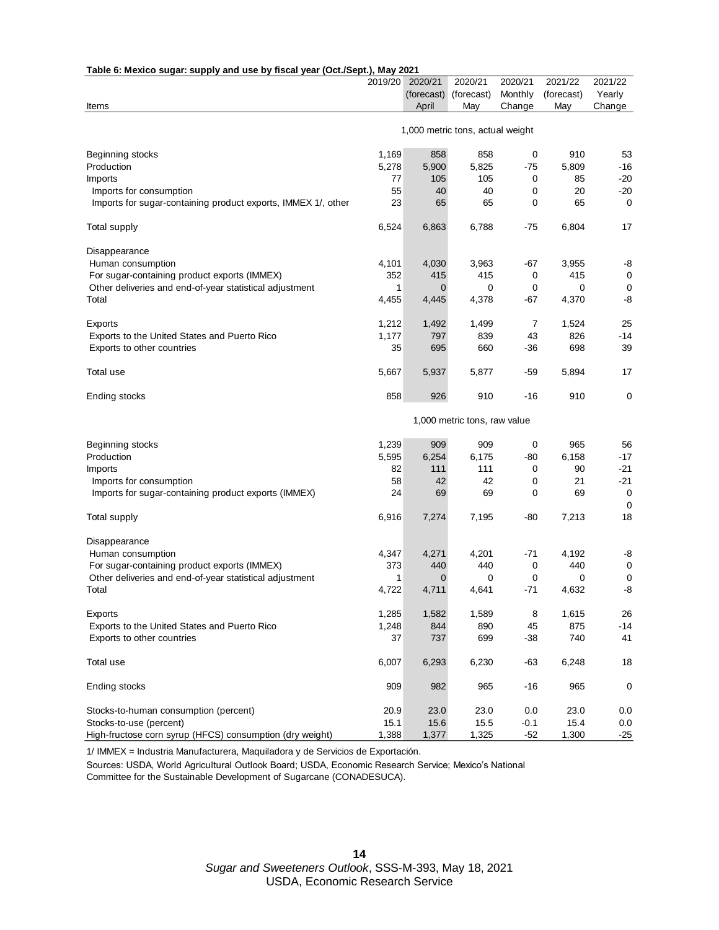| Table 6: Mexico sugar: supply and use by fiscal year (Oct./Sept.), May 2021 |         |              |                                  |           |            |                   |
|-----------------------------------------------------------------------------|---------|--------------|----------------------------------|-----------|------------|-------------------|
|                                                                             | 2019/20 | 2020/21      | 2020/21                          | 2020/21   | 2021/22    | 2021/22           |
|                                                                             |         | (forecast)   | (forecast)                       | Monthly   | (forecast) | Yearly            |
| Items                                                                       |         | April        | May                              | Change    | May        | Change            |
|                                                                             |         |              | 1,000 metric tons, actual weight |           |            |                   |
| Beginning stocks                                                            | 1,169   | 858          | 858                              | $\pmb{0}$ | 910        | 53                |
| Production                                                                  | 5,278   | 5,900        | 5,825                            | -75       | 5,809      | -16               |
| Imports                                                                     | 77      | 105          | 105                              | 0         | 85         | $-20$             |
| Imports for consumption                                                     | 55      | 40           | 40                               | 0         | 20         | $-20$             |
| Imports for sugar-containing product exports, IMMEX 1/, other               | 23      | 65           | 65                               | 0         | 65         | 0                 |
| <b>Total supply</b>                                                         | 6,524   | 6,863        | 6,788                            | -75       | 6,804      | 17                |
| Disappearance                                                               |         |              |                                  |           |            |                   |
| Human consumption                                                           | 4,101   | 4,030        | 3,963                            | -67       | 3,955      | -8                |
| For sugar-containing product exports (IMMEX)                                | 352     | 415          | 415                              | 0         | 415        | 0                 |
| Other deliveries and end-of-year statistical adjustment                     | 1       | $\mathbf{0}$ | 0                                | 0         | 0          | 0                 |
| Total                                                                       | 4,455   | 4,445        | 4,378                            | -67       | 4,370      | -8                |
| Exports                                                                     | 1,212   | 1,492        | 1,499                            | 7         | 1,524      | 25                |
| Exports to the United States and Puerto Rico                                | 1,177   | 797          | 839                              | 43        | 826        | $-14$             |
| Exports to other countries                                                  | 35      | 695          | 660                              | -36       | 698        | 39                |
| Total use                                                                   | 5,667   | 5,937        | 5,877                            | -59       | 5,894      | 17                |
| Ending stocks                                                               | 858     | 926          | 910                              | -16       | 910        | 0                 |
|                                                                             |         |              | 1,000 metric tons, raw value     |           |            |                   |
|                                                                             |         |              |                                  |           |            |                   |
| Beginning stocks                                                            | 1,239   | 909          | 909                              | 0         | 965        | 56                |
| Production                                                                  | 5,595   | 6,254        | 6,175                            | -80       | 6,158      | $-17$             |
| Imports                                                                     | 82      | 111          | 111                              | 0         | 90         | -21               |
| Imports for consumption                                                     | 58      | 42           | 42                               | 0         | 21         | $-21$             |
| Imports for sugar-containing product exports (IMMEX)                        | 24      | 69           | 69                               | 0         | 69         | 0                 |
| <b>Total supply</b>                                                         | 6,916   | 7,274        | 7,195                            | -80       | 7,213      | $\mathbf 0$<br>18 |
|                                                                             |         |              |                                  |           |            |                   |
| Disappearance                                                               |         |              |                                  |           |            |                   |
| Human consumption                                                           | 4,347   | 4,271        | 4,201                            | -71       | 4,192      | -8                |
| For sugar-containing product exports (IMMEX)                                | 373     | 440          | 440                              | 0         | 440        | $\mathbf 0$       |
| Other deliveries and end-of-year statistical adjustment                     | 1       | $\mathbf 0$  | 0                                | 0         | 0          | 0                 |
| Total                                                                       | 4,722   | 4,711        | 4,641                            | $-71$     | 4,632      | -8                |
| Exports                                                                     | 1,285   | 1,582        | 1,589                            | 8         | 1,615      | 26                |
| Exports to the United States and Puerto Rico                                | 1,248   | 844          | 890                              | 45        | 875        | $-14$             |
| Exports to other countries                                                  | 37      | 737          | 699                              | -38       | 740        | 41                |
| Total use                                                                   | 6,007   | 6,293        | 6,230                            | -63       | 6,248      | 18                |
| Ending stocks                                                               | 909     | 982          | 965                              | -16       | 965        | 0                 |
| Stocks-to-human consumption (percent)                                       | 20.9    | 23.0         | 23.0                             | 0.0       | 23.0       | 0.0               |
| Stocks-to-use (percent)                                                     | 15.1    | 15.6         | 15.5                             | $-0.1$    | 15.4       | 0.0               |
| High-fructose corn syrup (HFCS) consumption (dry weight)                    | 1,388   | 1,377        | 1,325                            | $-52$     | 1,300      | $-25$             |

1/ IMMEX = Industria Manufacturera, Maquiladora y de Servicios de Exportación.

Sources: USDA, World Agricultural Outlook Board; USDA, Economic Research Service; Mexico's National

Committee for the Sustainable Development of Sugarcane (CONADESUCA).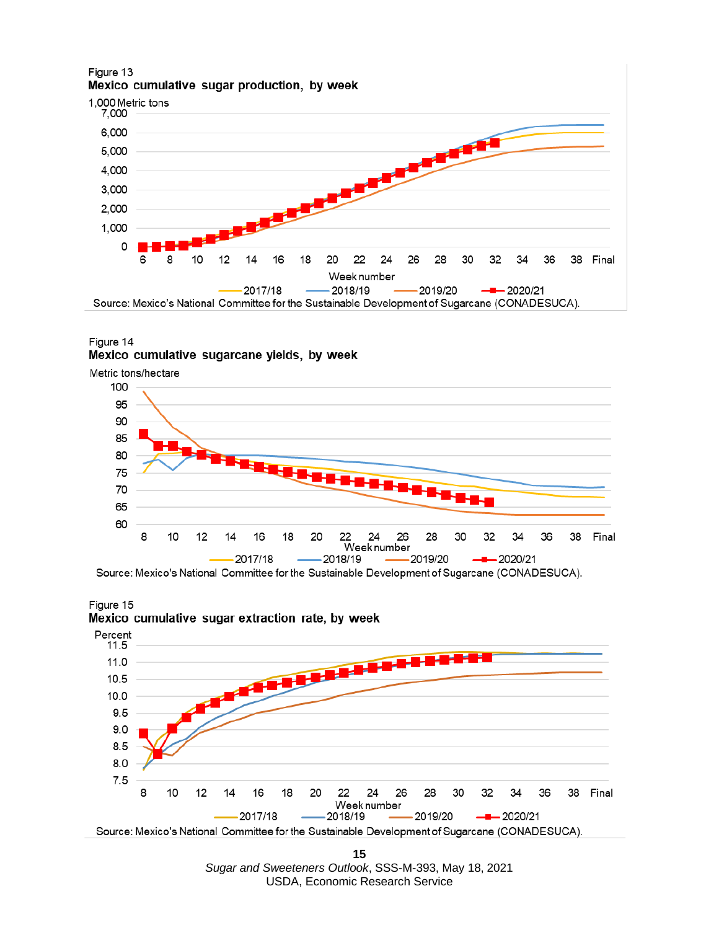#### Figure 13 Mexico cumulative sugar production, by week



#### Figure 14 Mexico cumulative sugarcane yields, by week







Source: Mexico's National Committee for the Sustainable Development of Sugarcane (CONADESUCA).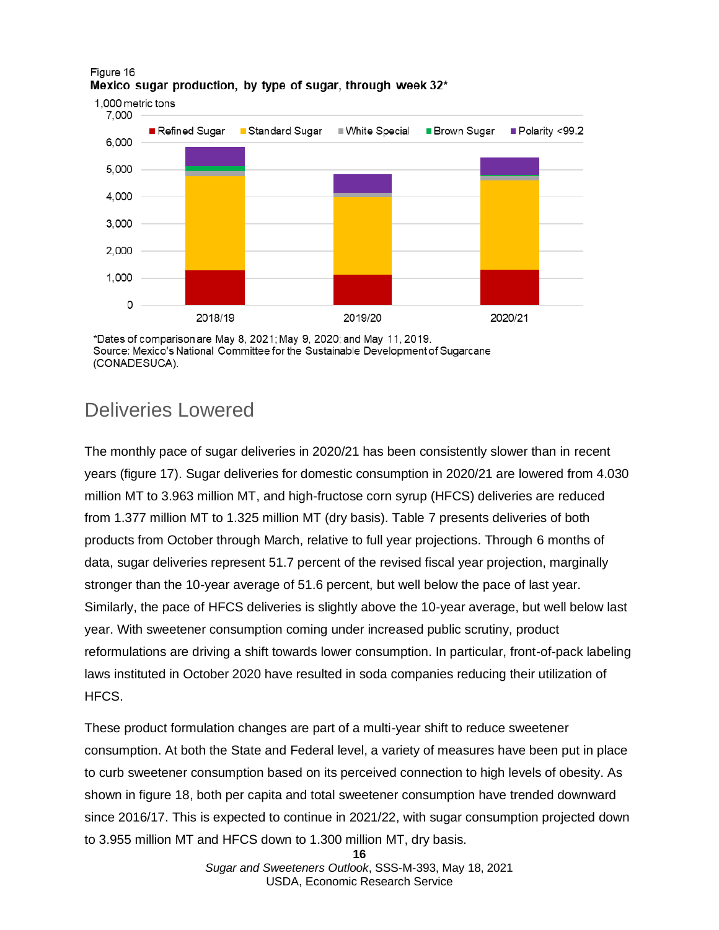

#### Figure 16 Mexico sugar production, by type of sugar, through week 32\*

\*Dates of comparison are May 8, 2021; May 9, 2020; and May 11, 2019. Source: Mexico's National Committee for the Sustainable Development of Sugarcane (CONADESUCA).

### Deliveries Lowered

The monthly pace of sugar deliveries in 2020/21 has been consistently slower than in recent years (figure 17). Sugar deliveries for domestic consumption in 2020/21 are lowered from 4.030 million MT to 3.963 million MT, and high-fructose corn syrup (HFCS) deliveries are reduced from 1.377 million MT to 1.325 million MT (dry basis). Table 7 presents deliveries of both products from October through March, relative to full year projections. Through 6 months of data, sugar deliveries represent 51.7 percent of the revised fiscal year projection, marginally stronger than the 10-year average of 51.6 percent, but well below the pace of last year. Similarly, the pace of HFCS deliveries is slightly above the 10-year average, but well below last year. With sweetener consumption coming under increased public scrutiny, product reformulations are driving a shift towards lower consumption. In particular, front-of-pack labeling laws instituted in October 2020 have resulted in soda companies reducing their utilization of HFCS.

These product formulation changes are part of a multi-year shift to reduce sweetener consumption. At both the State and Federal level, a variety of measures have been put in place to curb sweetener consumption based on its perceived connection to high levels of obesity. As shown in figure 18, both per capita and total sweetener consumption have trended downward since 2016/17. This is expected to continue in 2021/22, with sugar consumption projected down to 3.955 million MT and HFCS down to 1.300 million MT, dry basis.

**<sup>16</sup>**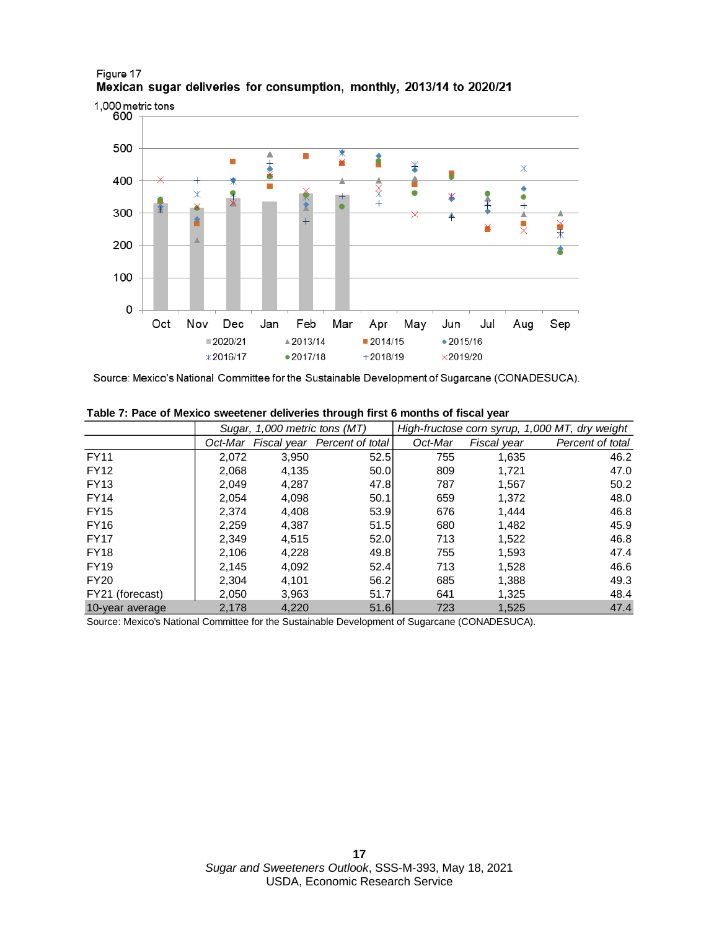

#### Figure 17 Mexican sugar deliveries for consumption, monthly, 2013/14 to 2020/21

Source: Mexico's National Committee for the Sustainable Development of Sugarcane (CONADESUCA).

|                 | Sugar, 1,000 metric tons (MT) |       |                                      | High-fructose corn syrup, 1,000 MT, dry weight |             |                  |  |  |
|-----------------|-------------------------------|-------|--------------------------------------|------------------------------------------------|-------------|------------------|--|--|
|                 |                               |       | Oct-Mar Fiscal year Percent of total | Oct-Mar                                        | Fiscal year | Percent of total |  |  |
| <b>FY11</b>     | 2.072                         | 3,950 | 52.5                                 | 755                                            | 1,635       | 46.2             |  |  |
| <b>FY12</b>     | 2.068                         | 4,135 | 50.0                                 | 809                                            | 1.721       | 47.0             |  |  |
| <b>FY13</b>     | 2,049                         | 4,287 | 47.8                                 | 787                                            | 1,567       | 50.2             |  |  |
| <b>FY14</b>     | 2.054                         | 4,098 | 50.1                                 | 659                                            | 1,372       | 48.0             |  |  |
| <b>FY15</b>     | 2.374                         | 4,408 | 53.9                                 | 676                                            | 1.444       | 46.8             |  |  |
| <b>FY16</b>     | 2.259                         | 4.387 | 51.5                                 | 680                                            | 1,482       | 45.9             |  |  |
| <b>FY17</b>     | 2.349                         | 4,515 | 52.0                                 | 713                                            | 1,522       | 46.8             |  |  |
| <b>FY18</b>     | 2,106                         | 4,228 | 49.8                                 | 755                                            | 1,593       | 47.4             |  |  |
| <b>FY19</b>     | 2.145                         | 4,092 | 52.4                                 | 713                                            | 1.528       | 46.6             |  |  |
| <b>FY20</b>     | 2.304                         | 4,101 | 56.2                                 | 685                                            | 1,388       | 49.3             |  |  |
| FY21 (forecast) | 2,050                         | 3,963 | 51.7                                 | 641                                            | 1,325       | 48.4             |  |  |
| 10-year average | 2,178                         | 4,220 | 51.6                                 | 723                                            | 1,525       | 47.4             |  |  |

**Table 7: Pace of Mexico sweetener deliveries through first 6 months of fiscal year**

Source: Mexico's National Committee for the Sustainable Development of Sugarcane (CONADESUCA).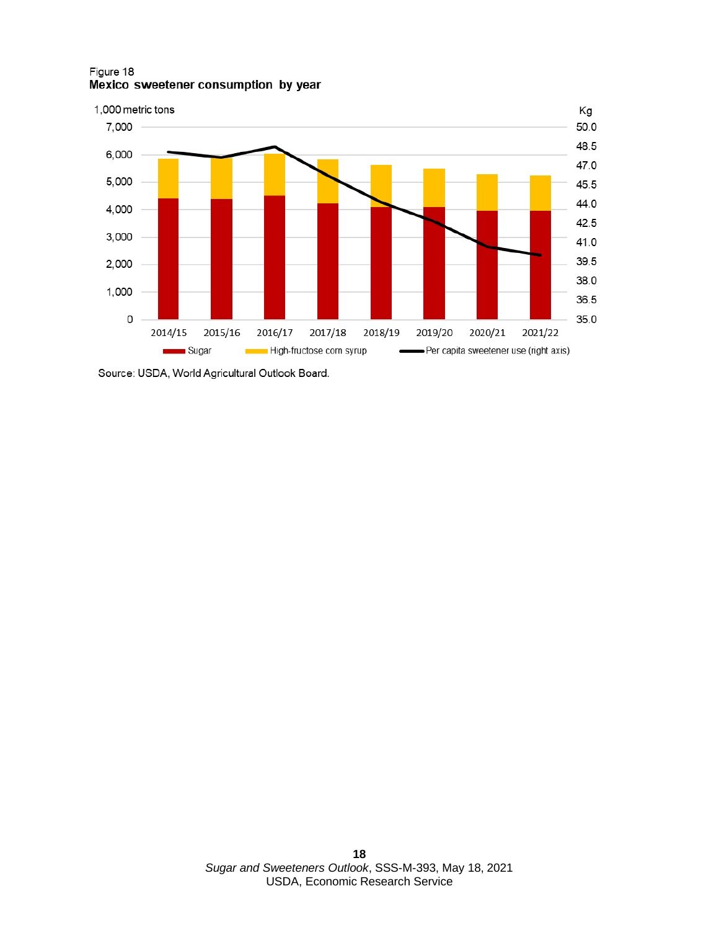Figure 18 Mexico sweetener consumption by year



Source: USDA, World Agricultural Outlook Board.